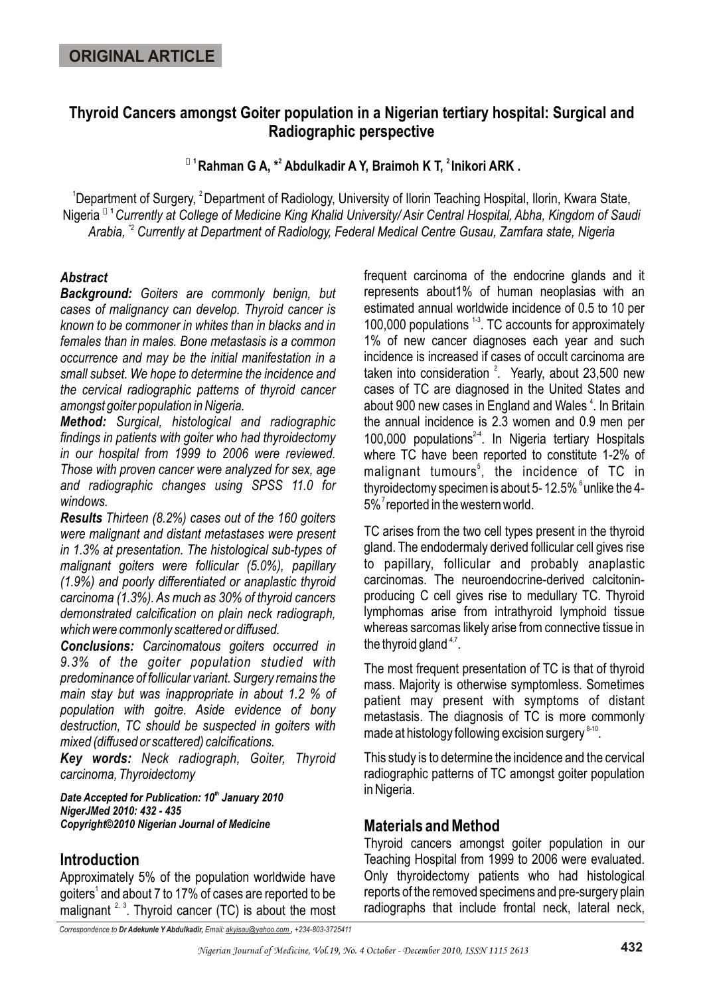# **Thyroid Cancers amongst Goiter population in a Nigerian tertiary hospital: Surgical and Radiographic perspective**

**<sup>** $0$ **</sup> <b>1 Rahman G A, <sup>\*2</sup> Abdulkadir A Y, Braimoh K T, <sup>2</sup> Inikori ARK.** 

<sup>1</sup> Department of Surgery, <sup>2</sup> Department of Radiology, University of Ilorin Teaching Hospital, Ilorin, Kwara State, **<sup>ö</sup> <sup>1</sup>**Nigeria *Currently at College of Medicine King Khalid University/ Asir Central Hospital, Abha, Kingdom of Saudi*  Arabia, <sup>2</sup> Currently at Department of Radiology, Federal Medical Centre Gusau, Zamfara state, Nigeria

## *Abstract*

*Background: Goiters are commonly benign, but cases of malignancy can develop. Thyroid cancer is known to be commoner in whites than in blacks and in females than in males. Bone metastasis is a common occurrence and may be the initial manifestation in a small subset. We hope to determine the incidence and the cervical radiographic patterns of thyroid cancer amongst goiter population in Nigeria.* 

*Method: Surgical, histological and radiographic findings in patients with goiter who had thyroidectomy in our hospital from 1999 to 2006 were reviewed. Those with proven cancer were analyzed for sex, age and radiographic changes using SPSS 11.0 for windows.* 

*Results Thirteen (8.2%) cases out of the 160 goiters were malignant and distant metastases were present in 1.3% at presentation. The histological sub-types of malignant goiters were follicular (5.0%), papillary (1.9%) and poorly differentiated or anaplastic thyroid carcinoma (1.3%). As much as 30% of thyroid cancers demonstrated calcification on plain neck radiograph, which were commonly scattered or diffused.*

*Conclusions: Carcinomatous goiters occurred in 9.3% of the goiter population studied with predominance of follicular variant. Surgery remains the main stay but was inappropriate in about 1.2 % of population with goitre. Aside evidence of bony destruction, TC should be suspected in goiters with mixed (diffused or scattered) calcifications.*

*Key words: Neck radiograph, Goiter, Thyroid carcinoma, Thyroidectomy*

**Date Accepted for Publication: 10<sup>th</sup> January 2010** *NigerJMed 2010: 432 - 435 Copyright©2010 Nigerian Journal of Medicine*

## **Introduction**

Approximately 5% of the population worldwide have goiters<sup>1</sup> and about 7 to 17% of cases are reported to be malignant  $2^3$ . Thyroid cancer (TC) is about the most

frequent carcinoma of the endocrine glands and it represents about1% of human neoplasias with an estimated annual worldwide incidence of 0.5 to 10 per 100,000 populations  $^{13}$ . TC accounts for approximately 1% of new cancer diagnoses each year and such incidence is increased if cases of occult carcinoma are taken into consideration  $2$ . Yearly, about 23,500 new cases of TC are diagnosed in the United States and about 900 new cases in England and Wales<sup>4</sup>. In Britain the annual incidence is 2.3 women and 0.9 men per 100,000 populations $24$ . In Nigeria tertiary Hospitals where TC have been reported to constitute 1-2% of malignant tumours<sup>5</sup>, the incidence of TC in thyroidectomy specimen is about 5-12.5%  $^6$ unlike the 4- $5\%$ <sup>7</sup> reported in the western world.

TC arises from the two cell types present in the thyroid gland. The endodermaly derived follicular cell gives rise to papillary, follicular and probably anaplastic carcinomas. The neuroendocrine-derived calcitoninproducing C cell gives rise to medullary TC. Thyroid lymphomas arise from intrathyroid lymphoid tissue whereas sarcomas likely arise from connective tissue in the thyroid gland  $4.7$ .

The most frequent presentation of TC is that of thyroid mass. Majority is otherwise symptomless. Sometimes patient may present with symptoms of distant metastasis. The diagnosis of TC is more commonly made at histology following excision surgery  $8-10$ .

This study is to determine the incidence and the cervical radiographic patterns of TC amongst goiter population in Nigeria.

## **Materials and Method**

Thyroid cancers amongst goiter population in our Teaching Hospital from 1999 to 2006 were evaluated. Only thyroidectomy patients who had histological reports of the removed specimens and pre-surgery plain radiographs that include frontal neck, lateral neck,

*Correspondence to Dr Adekunle Y Abdulkadir, Email: akyisau@yahoo.com , +234-803-3725411*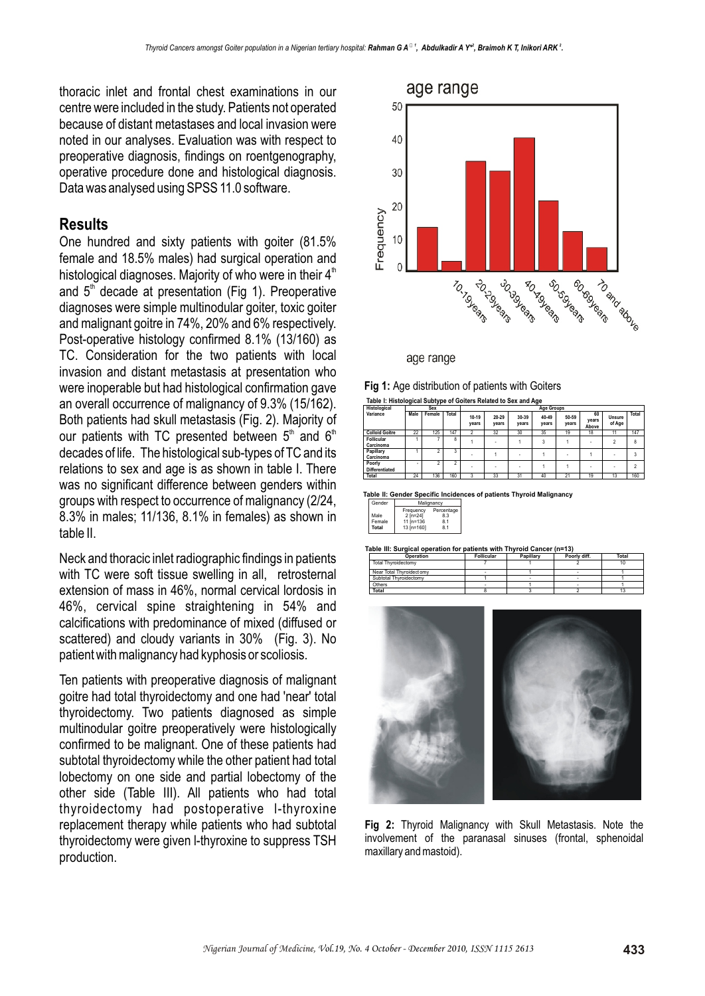thoracic inlet and frontal chest examinations in our centre were included in the study. Patients not operated because of distant metastases and local invasion were noted in our analyses. Evaluation was with respect to preoperative diagnosis, findings on roentgenography, operative procedure done and histological diagnosis. Data was analysed using SPSS 11.0 software.

### **Results**

One hundred and sixty patients with goiter (81.5% female and 18.5% males) had surgical operation and histological diagnoses. Majority of who were in their  $4<sup>th</sup>$ and  $5<sup>th</sup>$  decade at presentation (Fig 1). Preoperative diagnoses were simple multinodular goiter, toxic goiter and malignant goitre in 74%, 20% and 6% respectively. Post-operative histology confirmed 8.1% (13/160) as TC. Consideration for the two patients with local invasion and distant metastasis at presentation who were inoperable but had histological confirmation gave an overall occurrence of malignancy of 9.3% (15/162). Both patients had skull metastasis (Fig. 2). Majority of our patients with TC presented between  $5<sup>th</sup>$  and  $6<sup>th</sup>$ decades of life. The histological sub-types of TC and its relations to sex and age is as shown in table I. There was no significant difference between genders within groups with respect to occurrence of malignancy (2/24, 8.3% in males; 11/136, 8.1% in females) as shown in table II.

Neck and thoracic inlet radiographic findings in patients with TC were soft tissue swelling in all, retrosternal extension of mass in 46%, normal cervical lordosis in 46%, cervical spine straightening in 54% and calcifications with predominance of mixed (diffused or scattered) and cloudy variants in 30% (Fig. 3). No patient with malignancy had kyphosis or scoliosis.

Ten patients with preoperative diagnosis of malignant goitre had total thyroidectomy and one had 'near' total thyroidectomy. Two patients diagnosed as simple multinodular goitre preoperatively were histologically confirmed to be malignant. One of these patients had subtotal thyroidectomy while the other patient had total lobectomy on one side and partial lobectomy of the other side (Table III). All patients who had total thyroidectomy had postoperative l-thyroxine replacement therapy while patients who had subtotal thyroidectomy were given l-thyroxine to suppress TSH production.



age range

| Fig 1: Age distribution of patients with Goiters                |
|-----------------------------------------------------------------|
| Table I: Histological Subtype of Goiters Related to Sex and Age |

| Histological                    | . .<br>. .<br>Sex |        |                |                |                | . .<br><b>Age Groups</b> |                |                |                      |                  |                |
|---------------------------------|-------------------|--------|----------------|----------------|----------------|--------------------------|----------------|----------------|----------------------|------------------|----------------|
| Variance                        | Male              | Female | Total          | 10-19<br>vears | 20-29<br>vears | 30-39<br>vears           | 40-49<br>years | 50-59<br>years | 60<br>vears<br>Above | Unsure<br>of Age | Total          |
| <b>Colloid Goitre</b>           | 22                | 125    | 147            | $\hat{ }$      | 32             | 30                       | 35             | 19             | 18                   | 11               | 147            |
| <b>Follicular</b><br>Carcinoma  |                   |        | 8              |                | ۰              |                          | 3              |                | ٠                    | $\mathfrak{p}$   | 8              |
| Papillary<br>Carcinoma          |                   | n      | 3              |                |                | $\sim$                   |                |                |                      | ۰                | 3              |
| Poorly<br><b>Differentiated</b> | ۰                 | 2      | $\overline{2}$ |                | ۰              | ۰                        |                |                | ٠                    | ۰                | $\mathfrak{p}$ |
| Total                           | 24                | 136    | 160            | 3              | 33             | 31                       | 40             | 21             | 19                   | 13               | 160            |

**Table II: Gender Specific Incidences of patients Thyroid Malignancy**

| Gender | Malignancy   |            |  |  |  |  |
|--------|--------------|------------|--|--|--|--|
|        | Frequency    | Percentage |  |  |  |  |
| Male   | $2$ [n=24]   | 8.3        |  |  |  |  |
| Female | 11 $[n=136]$ | 8.1        |  |  |  |  |
| Total  | 13 $[n=160]$ | 8.1        |  |  |  |  |

**Table III: Surgical operation for patients with Thyroid Cancer (n=13)**

| Operation                  | <b>Follicular</b> | Papillary | Poorly diff. | Total |
|----------------------------|-------------------|-----------|--------------|-------|
| <b>Total Thyroidectomy</b> |                   |           |              | 10    |
| Near Total Thyroidectomy   |                   |           |              |       |
| Subtotal Thyroidectomy     |                   |           |              |       |
| Others                     |                   |           |              |       |
| Total                      |                   |           |              |       |



**Fig 2:** Thyroid Malignancy with Skull Metastasis. Note the involvement of the paranasal sinuses (frontal, sphenoidal maxillary and mastoid).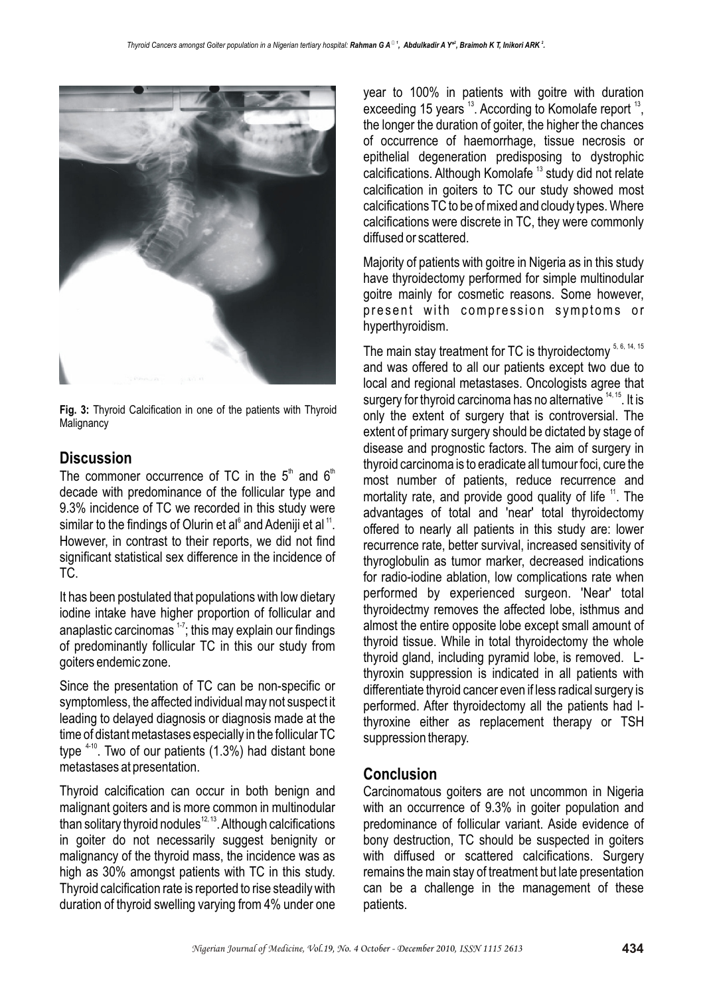

**Fig. 3:** Thyroid Calcification in one of the patients with Thyroid **Malignancy** 

## **Discussion**

The commoner occurrence of TC in the  $5<sup>th</sup>$  and  $6<sup>th</sup>$ decade with predominance of the follicular type and 9.3% incidence of TC we recorded in this study were similar to the findings of Olurin et al $^{\circ}$  and Adeniji et al  $^{\prime\prime}$ . However, in contrast to their reports, we did not find significant statistical sex difference in the incidence of TC.

It has been postulated that populations with low dietary iodine intake have higher proportion of follicular and anaplastic carcinomas  $17$ ; this may explain our findings of predominantly follicular TC in this our study from goiters endemic zone.

Since the presentation of TC can be non-specific or symptomless, the affected individual may not suspect it leading to delayed diagnosis or diagnosis made at the time of distant metastases especially in the follicular TC type  $4-10$ . Two of our patients  $(1.3\%)$  had distant bone metastases at presentation.

Thyroid calcification can occur in both benign and malignant goiters and is more common in multinodular than solitary thyroid nodules<sup> $12, 13$ </sup>. Although calcifications in goiter do not necessarily suggest benignity or malignancy of the thyroid mass, the incidence was as high as 30% amongst patients with TC in this study. Thyroid calcification rate is reported to rise steadily with duration of thyroid swelling varying from 4% under one

year to 100% in patients with goitre with duration exceeding 15 years  $13$ . According to Komolafe report  $13$ , the longer the duration of goiter, the higher the chances of occurrence of haemorrhage, tissue necrosis or epithelial degeneration predisposing to dystrophic calcifications. Although Komolafe<sup>13</sup> study did not relate calcification in goiters to TC our study showed most calcifications TC to be of mixed and cloudy types. Where calcifications were discrete in TC, they were commonly diffused or scattered.

Majority of patients with goitre in Nigeria as in this study have thyroidectomy performed for simple multinodular goitre mainly for cosmetic reasons. Some however, present with compression symptoms or hyperthyroidism.

The main stay treatment for TC is thyroidectomy  $5, 6, 14, 15$ and was offered to all our patients except two due to local and regional metastases. Oncologists agree that surgery for thyroid carcinoma has no alternative  $14, 15$ . It is only the extent of surgery that is controversial. The extent of primary surgery should be dictated by stage of disease and prognostic factors. The aim of surgery in thyroid carcinoma is to eradicate all tumour foci, cure the most number of patients, reduce recurrence and mortality rate, and provide good quality of life  $11$ . The advantages of total and 'near' total thyroidectomy offered to nearly all patients in this study are: lower recurrence rate, better survival, increased sensitivity of thyroglobulin as tumor marker, decreased indications for radio-iodine ablation, low complications rate when performed by experienced surgeon. 'Near' total thyroidectmy removes the affected lobe, isthmus and almost the entire opposite lobe except small amount of thyroid tissue. While in total thyroidectomy the whole thyroid gland, including pyramid lobe, is removed. Lthyroxin suppression is indicated in all patients with differentiate thyroid cancer even if less radical surgery is performed. After thyroidectomy all the patients had lthyroxine either as replacement therapy or TSH suppression therapy.

## **Conclusion**

Carcinomatous goiters are not uncommon in Nigeria with an occurrence of 9.3% in goiter population and predominance of follicular variant. Aside evidence of bony destruction, TC should be suspected in goiters with diffused or scattered calcifications. Surgery remains the main stay of treatment but late presentation can be a challenge in the management of these patients.